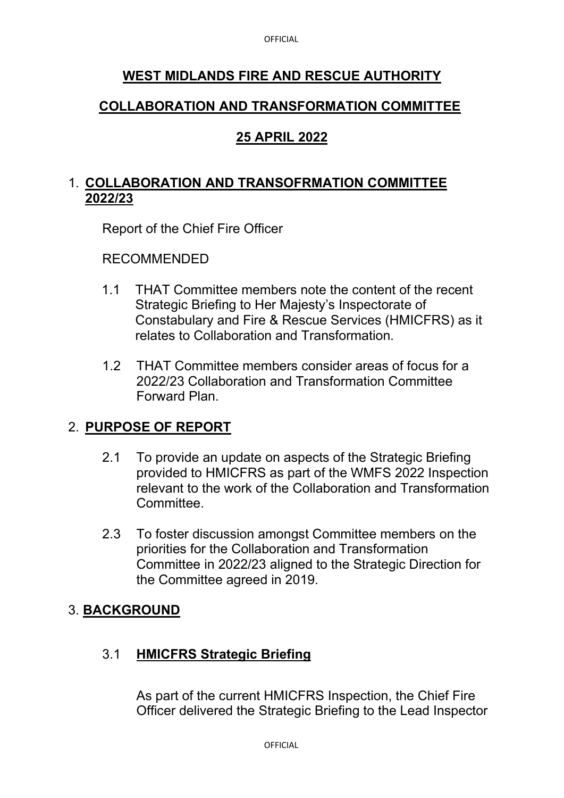# **WEST MIDLANDS FIRE AND RESCUE AUTHORITY**

## **COLLABORATION AND TRANSFORMATION COMMITTEE**

## **25 APRIL 2022**

## 1. **COLLABORATION AND TRANSOFRMATION COMMITTEE 2022/23**

Report of the Chief Fire Officer

#### RECOMMENDED

- 1.1 THAT Committee members note the content of the recent Strategic Briefing to Her Majesty's Inspectorate of Constabulary and Fire & Rescue Services (HMICFRS) as it relates to Collaboration and Transformation.
- 1.2 THAT Committee members consider areas of focus for a 2022/23 Collaboration and Transformation Committee Forward Plan.

# 2. **PURPOSE OF REPORT**

- 2.1 To provide an update on aspects of the Strategic Briefing provided to HMICFRS as part of the WMFS 2022 Inspection relevant to the work of the Collaboration and Transformation Committee.
- 2.3 To foster discussion amongst Committee members on the priorities for the Collaboration and Transformation Committee in 2022/23 aligned to the Strategic Direction for the Committee agreed in 2019.

### 3. **BACKGROUND**

### 3.1 **HMICFRS Strategic Briefing**

As part of the current HMICFRS Inspection, the Chief Fire Officer delivered the Strategic Briefing to the Lead Inspector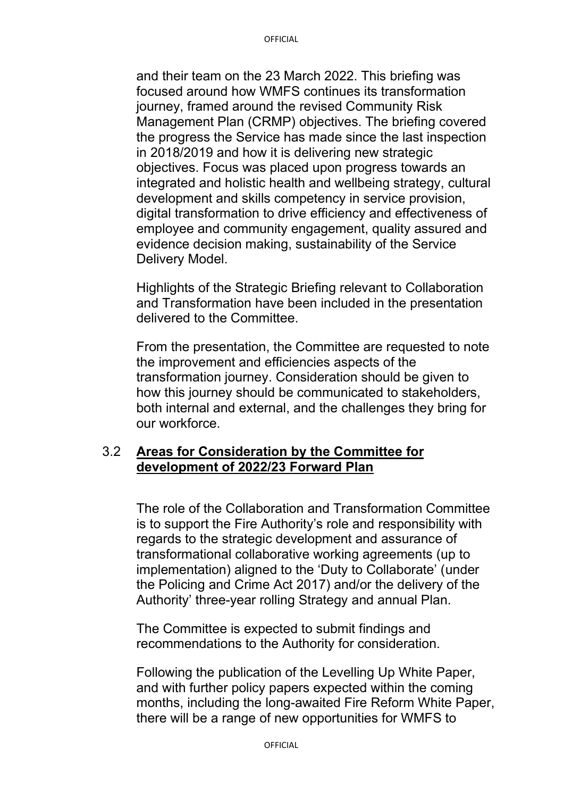and their team on the 23 March 2022. This briefing was focused around how WMFS continues its transformation journey, framed around the revised Community Risk Management Plan (CRMP) objectives. The briefing covered the progress the Service has made since the last inspection in 2018/2019 and how it is delivering new strategic objectives. Focus was placed upon progress towards an integrated and holistic health and wellbeing strategy, cultural development and skills competency in service provision, digital transformation to drive efficiency and effectiveness of employee and community engagement, quality assured and evidence decision making, sustainability of the Service Delivery Model.

Highlights of the Strategic Briefing relevant to Collaboration and Transformation have been included in the presentation delivered to the Committee.

From the presentation, the Committee are requested to note the improvement and efficiencies aspects of the transformation journey. Consideration should be given to how this journey should be communicated to stakeholders, both internal and external, and the challenges they bring for our workforce.

#### 3.2 **Areas for Consideration by the Committee for development of 2022/23 Forward Plan**

The role of the Collaboration and Transformation Committee is to support the Fire Authority's role and responsibility with regards to the strategic development and assurance of transformational collaborative working agreements (up to implementation) aligned to the 'Duty to Collaborate' (under the Policing and Crime Act 2017) and/or the delivery of the Authority' three-year rolling Strategy and annual Plan.

The Committee is expected to submit findings and recommendations to the Authority for consideration.

Following the publication of the Levelling Up White Paper, and with further policy papers expected within the coming months, including the long-awaited Fire Reform White Paper, there will be a range of new opportunities for WMFS to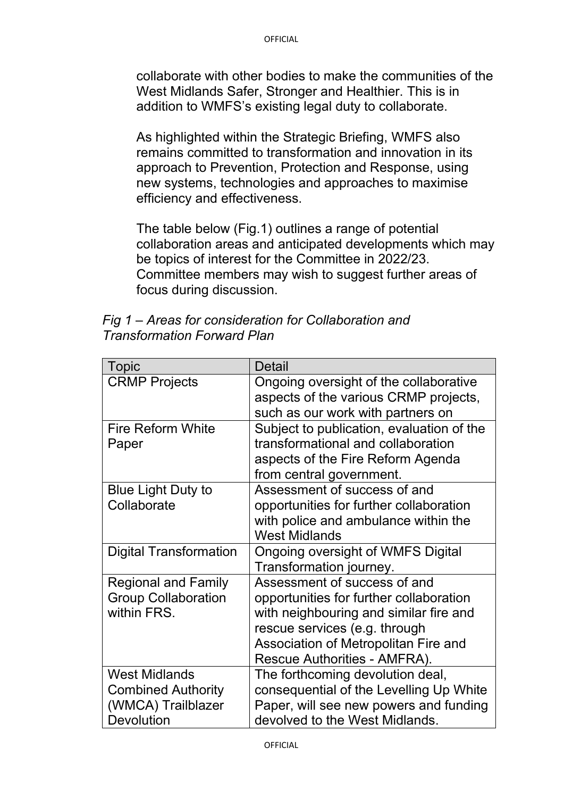collaborate with other bodies to make the communities of the West Midlands Safer, Stronger and Healthier. This is in addition to WMFS's existing legal duty to collaborate.

As highlighted within the Strategic Briefing, WMFS also remains committed to transformation and innovation in its approach to Prevention, Protection and Response, using new systems, technologies and approaches to maximise efficiency and effectiveness.

The table below (Fig.1) outlines a range of potential collaboration areas and anticipated developments which may be topics of interest for the Committee in 2022/23. Committee members may wish to suggest further areas of focus during discussion.

*Fig 1 – Areas for consideration for Collaboration and Transformation Forward Plan* 

| <b>Topic</b>                                                                                 | Detail                                                                                                                                                                                                                     |
|----------------------------------------------------------------------------------------------|----------------------------------------------------------------------------------------------------------------------------------------------------------------------------------------------------------------------------|
| <b>CRMP Projects</b>                                                                         | Ongoing oversight of the collaborative<br>aspects of the various CRMP projects,<br>such as our work with partners on                                                                                                       |
| <b>Fire Reform White</b><br>Paper                                                            | Subject to publication, evaluation of the<br>transformational and collaboration<br>aspects of the Fire Reform Agenda<br>from central government.                                                                           |
| <b>Blue Light Duty to</b><br>Collaborate                                                     | Assessment of success of and<br>opportunities for further collaboration<br>with police and ambulance within the<br><b>West Midlands</b>                                                                                    |
| <b>Digital Transformation</b>                                                                | <b>Ongoing oversight of WMFS Digital</b><br>Transformation journey.                                                                                                                                                        |
| <b>Regional and Family</b><br><b>Group Collaboration</b><br>within FRS.                      | Assessment of success of and<br>opportunities for further collaboration<br>with neighbouring and similar fire and<br>rescue services (e.g. through<br>Association of Metropolitan Fire and<br>Rescue Authorities - AMFRA). |
| <b>West Midlands</b><br><b>Combined Authority</b><br>(WMCA) Trailblazer<br><b>Devolution</b> | The forthcoming devolution deal,<br>consequential of the Levelling Up White<br>Paper, will see new powers and funding<br>devolved to the West Midlands.                                                                    |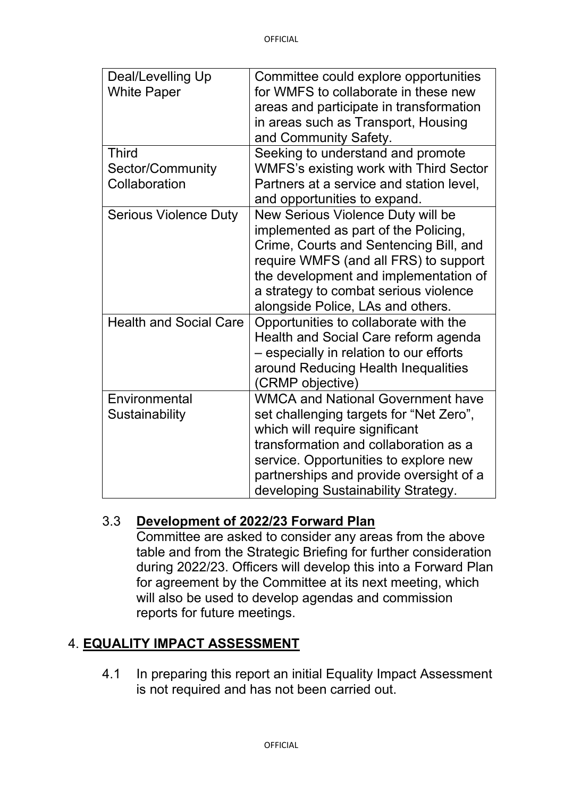| Deal/Levelling Up<br><b>White Paper</b> | Committee could explore opportunities<br>for WMFS to collaborate in these new<br>areas and participate in transformation<br>in areas such as Transport, Housing<br>and Community Safety.                                                                                                  |
|-----------------------------------------|-------------------------------------------------------------------------------------------------------------------------------------------------------------------------------------------------------------------------------------------------------------------------------------------|
| <b>Third</b><br>Sector/Community        | Seeking to understand and promote<br><b>WMFS's existing work with Third Sector</b>                                                                                                                                                                                                        |
| Collaboration                           | Partners at a service and station level,<br>and opportunities to expand.                                                                                                                                                                                                                  |
| <b>Serious Violence Duty</b>            | New Serious Violence Duty will be<br>implemented as part of the Policing,<br>Crime, Courts and Sentencing Bill, and<br>require WMFS (and all FRS) to support<br>the development and implementation of<br>a strategy to combat serious violence<br>alongside Police, LAs and others.       |
| <b>Health and Social Care</b>           | Opportunities to collaborate with the<br>Health and Social Care reform agenda<br>- especially in relation to our efforts<br>around Reducing Health Inequalities<br>(CRMP objective)                                                                                                       |
| Environmental<br>Sustainability         | <b>WMCA and National Government have</b><br>set challenging targets for "Net Zero",<br>which will require significant<br>transformation and collaboration as a<br>service. Opportunities to explore new<br>partnerships and provide oversight of a<br>developing Sustainability Strategy. |

### 3.3 **Development of 2022/23 Forward Plan**

Committee are asked to consider any areas from the above table and from the Strategic Briefing for further consideration during 2022/23. Officers will develop this into a Forward Plan for agreement by the Committee at its next meeting, which will also be used to develop agendas and commission reports for future meetings.

# 4. **EQUALITY IMPACT ASSESSMENT**

4.1 In preparing this report an initial Equality Impact Assessment is not required and has not been carried out.